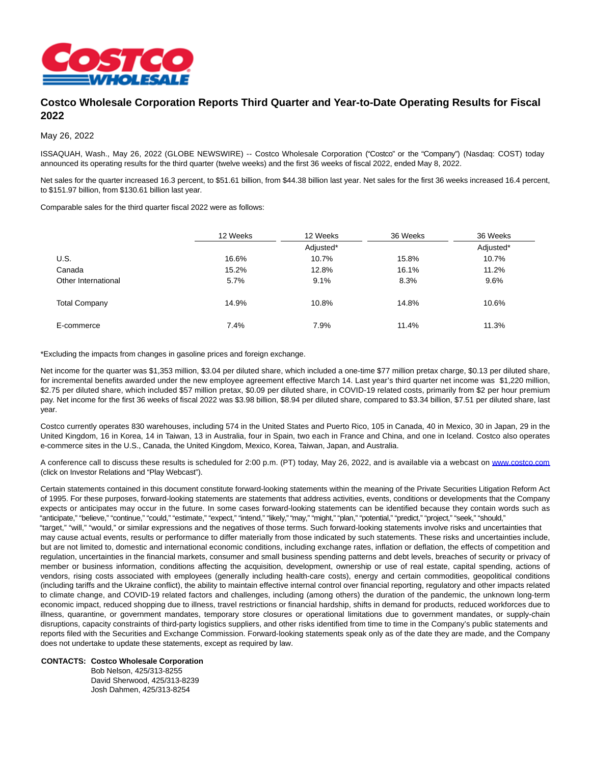

# **Costco Wholesale Corporation Reports Third Quarter and Year-to-Date Operating Results for Fiscal 2022**

May 26, 2022

ISSAQUAH, Wash., May 26, 2022 (GLOBE NEWSWIRE) -- Costco Wholesale Corporation ("Costco" or the "Company") (Nasdaq: COST) today announced its operating results for the third quarter (twelve weeks) and the first 36 weeks of fiscal 2022, ended May 8, 2022.

Net sales for the quarter increased 16.3 percent, to \$51.61 billion, from \$44.38 billion last year. Net sales for the first 36 weeks increased 16.4 percent, to \$151.97 billion, from \$130.61 billion last year.

Comparable sales for the third quarter fiscal 2022 were as follows:

|                      | 12 Weeks | 12 Weeks  | 36 Weeks | 36 Weeks  |  |  |
|----------------------|----------|-----------|----------|-----------|--|--|
|                      |          | Adjusted* |          | Adjusted* |  |  |
| <b>U.S.</b>          | 16.6%    | 10.7%     | 15.8%    | 10.7%     |  |  |
| Canada               | 15.2%    | 12.8%     | 16.1%    | 11.2%     |  |  |
| Other International  | 5.7%     | 9.1%      | 8.3%     | 9.6%      |  |  |
| <b>Total Company</b> | 14.9%    | 10.8%     | 14.8%    | 10.6%     |  |  |
| E-commerce           | 7.4%     | 7.9%      | 11.4%    | 11.3%     |  |  |

\*Excluding the impacts from changes in gasoline prices and foreign exchange.

Net income for the quarter was \$1,353 million, \$3.04 per diluted share, which included a one-time \$77 million pretax charge, \$0.13 per diluted share, for incremental benefits awarded under the new employee agreement effective March 14. Last year's third quarter net income was \$1,220 million, \$2.75 per diluted share, which included \$57 million pretax, \$0.09 per diluted share, in COVID-19 related costs, primarily from \$2 per hour premium pay. Net income for the first 36 weeks of fiscal 2022 was \$3.98 billion, \$8.94 per diluted share, compared to \$3.34 billion, \$7.51 per diluted share, last year.

Costco currently operates 830 warehouses, including 574 in the United States and Puerto Rico, 105 in Canada, 40 in Mexico, 30 in Japan, 29 in the United Kingdom, 16 in Korea, 14 in Taiwan, 13 in Australia, four in Spain, two each in France and China, and one in Iceland. Costco also operates e-commerce sites in the U.S., Canada, the United Kingdom, Mexico, Korea, Taiwan, Japan, and Australia.

A conference call to discuss these results is scheduled for 2:00 p.m. (PT) today, May 26, 2022, and is available via a webcast on [www.costco.com](http://www.costco.com/) (click on Investor Relations and "Play Webcast").

Certain statements contained in this document constitute forward-looking statements within the meaning of the Private Securities Litigation Reform Act of 1995. For these purposes, forward-looking statements are statements that address activities, events, conditions or developments that the Company expects or anticipates may occur in the future. In some cases forward-looking statements can be identified because they contain words such as "anticipate," "believe," "continue," "could," "estimate," "expect," "intend," "likely," "may," "might," "plan," "potential," "predict," "project," "seek," "should,"

"target," "will," "would," or similar expressions and the negatives of those terms. Such forward-looking statements involve risks and uncertainties that may cause actual events, results or performance to differ materially from those indicated by such statements. These risks and uncertainties include, but are not limited to, domestic and international economic conditions, including exchange rates, inflation or deflation, the effects of competition and regulation, uncertainties in the financial markets, consumer and small business spending patterns and debt levels, breaches of security or privacy of member or business information, conditions affecting the acquisition, development, ownership or use of real estate, capital spending, actions of vendors, rising costs associated with employees (generally including health-care costs), energy and certain commodities, geopolitical conditions (including tariffs and the Ukraine conflict), the ability to maintain effective internal control over financial reporting, regulatory and other impacts related to climate change, and COVID-19 related factors and challenges, including (among others) the duration of the pandemic, the unknown long-term economic impact, reduced shopping due to illness, travel restrictions or financial hardship, shifts in demand for products, reduced workforces due to illness, quarantine, or government mandates, temporary store closures or operational limitations due to government mandates, or supply-chain disruptions, capacity constraints of third-party logistics suppliers, and other risks identified from time to time in the Company's public statements and reports filed with the Securities and Exchange Commission. Forward-looking statements speak only as of the date they are made, and the Company does not undertake to update these statements, except as required by law.

### **CONTACTS: Costco Wholesale Corporation**

Bob Nelson, 425/313-8255 David Sherwood, 425/313-8239 Josh Dahmen, 425/313-8254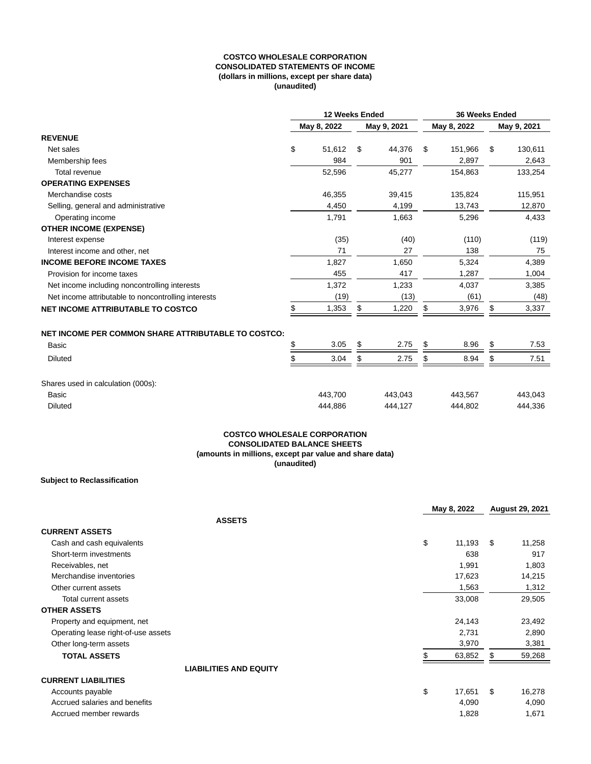## **COSTCO WHOLESALE CORPORATION CONSOLIDATED STATEMENTS OF INCOME (dollars in millions, except per share data) (unaudited)**

|                                                     | 12 Weeks Ended |             | 36 Weeks Ended |         |             |         |             |         |
|-----------------------------------------------------|----------------|-------------|----------------|---------|-------------|---------|-------------|---------|
|                                                     |                | May 8, 2022 | May 9, 2021    |         | May 8, 2022 |         | May 9, 2021 |         |
| <b>REVENUE</b>                                      |                |             |                |         |             |         |             |         |
| Net sales                                           | \$             | 51,612      | \$             | 44,376  | \$          | 151,966 | \$          | 130,611 |
| Membership fees                                     |                | 984         |                | 901     |             | 2,897   |             | 2,643   |
| <b>Total revenue</b>                                |                | 52,596      |                | 45,277  |             | 154,863 |             | 133,254 |
| <b>OPERATING EXPENSES</b>                           |                |             |                |         |             |         |             |         |
| Merchandise costs                                   |                | 46,355      |                | 39,415  |             | 135,824 |             | 115,951 |
| Selling, general and administrative                 |                | 4,450       |                | 4,199   |             | 13,743  |             | 12,870  |
| Operating income                                    |                | 1,791       |                | 1,663   |             | 5,296   |             | 4,433   |
| <b>OTHER INCOME (EXPENSE)</b>                       |                |             |                |         |             |         |             |         |
| Interest expense                                    |                | (35)        |                | (40)    |             | (110)   |             | (119)   |
| Interest income and other, net                      |                | 71          |                | 27      |             | 138     |             | 75      |
| <b>INCOME BEFORE INCOME TAXES</b>                   |                | 1,827       |                | 1,650   |             | 5,324   |             | 4,389   |
| Provision for income taxes                          |                | 455         |                | 417     |             | 1,287   |             | 1,004   |
| Net income including noncontrolling interests       |                | 1,372       |                | 1,233   |             | 4,037   |             | 3,385   |
| Net income attributable to noncontrolling interests |                | (19)        |                | (13)    |             | (61)    |             | (48)    |
| <b>NET INCOME ATTRIBUTABLE TO COSTCO</b>            |                | 1,353       | \$             | 1,220   | S           | 3,976   | S           | 3,337   |
| NET INCOME PER COMMON SHARE ATTRIBUTABLE TO COSTCO: |                |             |                |         |             |         |             |         |
| <b>Basic</b>                                        | S              | 3.05        | S              | 2.75    | \$          | 8.96    | \$          | 7.53    |
| <b>Diluted</b>                                      |                | 3.04        | S              | 2.75    | \$          | 8.94    | \$          | 7.51    |
| Shares used in calculation (000s):                  |                |             |                |         |             |         |             |         |
| <b>Basic</b>                                        |                | 443.700     |                | 443,043 |             | 443.567 |             | 443,043 |
| <b>Diluted</b>                                      |                | 444.886     |                | 444,127 |             | 444.802 |             | 444.336 |

## **COSTCO WHOLESALE CORPORATION CONSOLIDATED BALANCE SHEETS (amounts in millions, except par value and share data) (unaudited)**

# **Subject to Reclassification**

|                                     | May 8, 2022 |        | <b>August 29, 2021</b> |        |
|-------------------------------------|-------------|--------|------------------------|--------|
| <b>ASSETS</b>                       |             |        |                        |        |
| <b>CURRENT ASSETS</b>               |             |        |                        |        |
| Cash and cash equivalents           | \$          | 11,193 | \$                     | 11,258 |
| Short-term investments              |             | 638    |                        | 917    |
| Receivables, net                    |             | 1,991  |                        | 1,803  |
| Merchandise inventories             |             | 17,623 |                        | 14,215 |
| Other current assets                |             | 1,563  |                        | 1,312  |
| Total current assets                |             | 33,008 |                        | 29,505 |
| <b>OTHER ASSETS</b>                 |             |        |                        |        |
| Property and equipment, net         |             | 24,143 |                        | 23,492 |
| Operating lease right-of-use assets |             | 2,731  |                        | 2,890  |
| Other long-term assets              |             | 3,970  |                        | 3,381  |
| <b>TOTAL ASSETS</b>                 | S           | 63,852 | \$                     | 59,268 |
| <b>LIABILITIES AND EQUITY</b>       |             |        |                        |        |
| <b>CURRENT LIABILITIES</b>          |             |        |                        |        |
| Accounts payable                    | \$          | 17,651 | \$                     | 16,278 |
| Accrued salaries and benefits       |             | 4,090  |                        | 4,090  |
| Accrued member rewards              |             | 1,828  |                        | 1,671  |